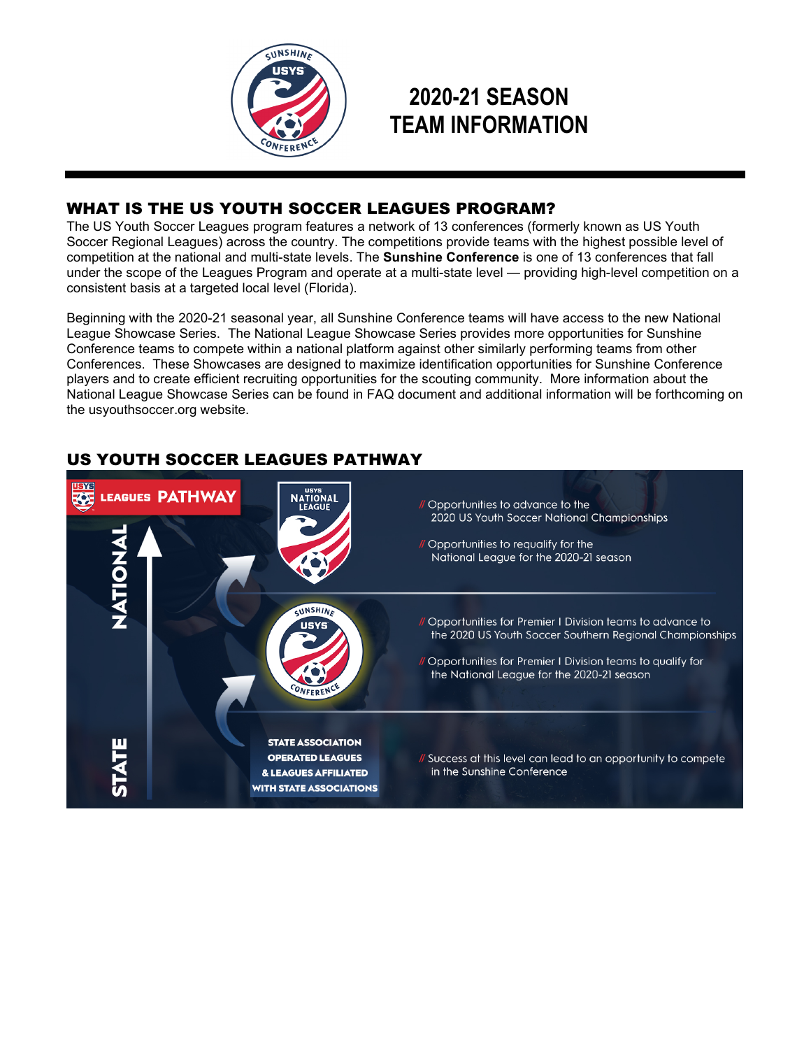

# **2020-21 SEASON TEAM INFORMATION**

# WHAT IS THE US YOUTH SOCCER LEAGUES PROGRAM?

The US Youth Soccer Leagues program features a network of 13 conferences (formerly known as US Youth Soccer Regional Leagues) across the country. The competitions provide teams with the highest possible level of competition at the national and multi-state levels. The **Sunshine Conference** is one of 13 conferences that fall under the scope of the Leagues Program and operate at a multi-state level — providing high-level competition on a consistent basis at a targeted local level (Florida).

Beginning with the 2020-21 seasonal year, all Sunshine Conference teams will have access to the new National League Showcase Series. The National League Showcase Series provides more opportunities for Sunshine Conference teams to compete within a national platform against other similarly performing teams from other Conferences. These Showcases are designed to maximize identification opportunities for Sunshine Conference players and to create efficient recruiting opportunities for the scouting community. More information about the National League Showcase Series can be found in FAQ document and additional information will be forthcoming on the usyouthsoccer.org website.



# US YOUTH SOCCER LEAGUES PATHWAY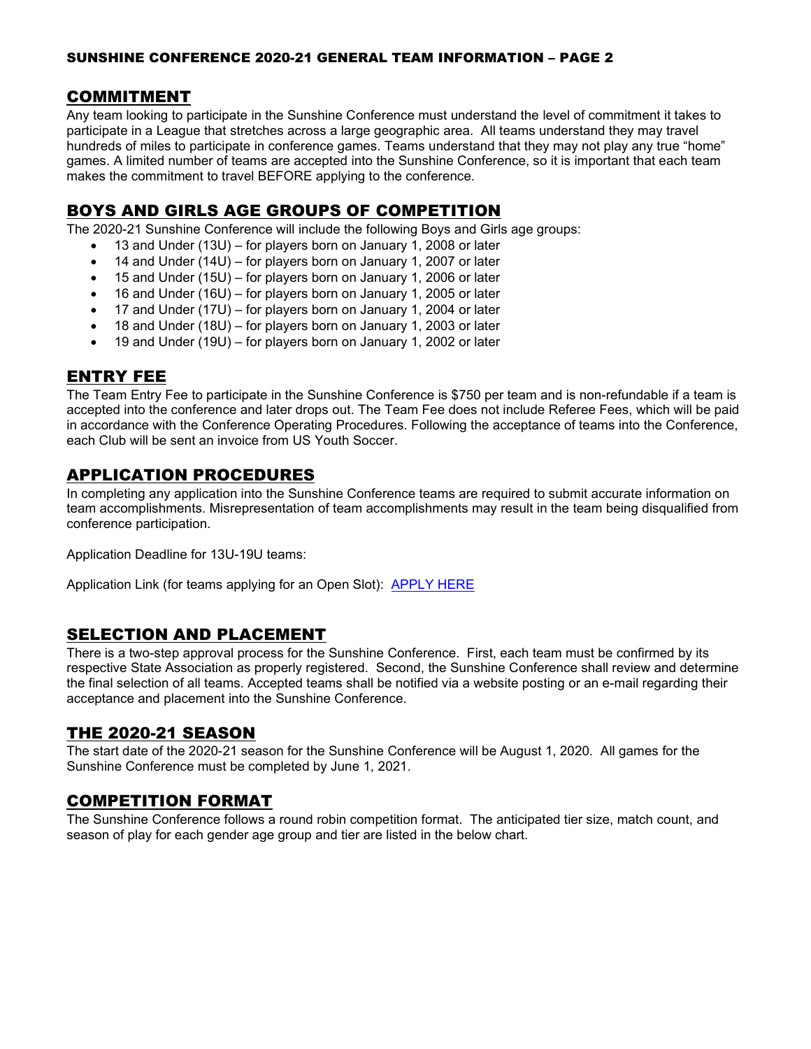### SUNSHINE CONFERENCE 2020-21 GENERAL TEAM INFORMATION – PAGE 2

### COMMITMENT

Any team looking to participate in the Sunshine Conference must understand the level of commitment it takes to participate in a League that stretches across a large geographic area. All teams understand they may travel hundreds of miles to participate in conference games. Teams understand that they may not play any true "home" games. A limited number of teams are accepted into the Sunshine Conference, so it is important that each team makes the commitment to travel BEFORE applying to the conference.

# BOYS AND GIRLS AGE GROUPS OF COMPETITION

The 2020-21 Sunshine Conference will include the following Boys and Girls age groups:

- 13 and Under (13U) for players born on January 1, 2008 or later
- 14 and Under (14U) for players born on January 1, 2007 or later
- 15 and Under (15U) for players born on January 1, 2006 or later
- 16 and Under (16U) for players born on January 1, 2005 or later
- 17 and Under (17U) for players born on January 1, 2004 or later
- 18 and Under (18U) for players born on January 1, 2003 or later
- 19 and Under (19U) for players born on January 1, 2002 or later

### ENTRY FEE

The Team Entry Fee to participate in the Sunshine Conference is \$750 per team and is non-refundable if a team is accepted into the conference and later drops out. The Team Fee does not include Referee Fees, which will be paid in accordance with the Conference Operating Procedures. Following the acceptance of teams into the Conference, each Club will be sent an invoice from US Youth Soccer.

# APPLICATION PROCEDURES

In completing any application into the Sunshine Conference teams are required to submit accurate information on team accomplishments. Misrepresentation of team accomplishments may result in the team being disqualified from conference participation.

Application Deadline for 13U-19U teams:

Application Link (for teams applying for an Open Slot): [APPLY HERE](https://www.gotsport.com/forms/app/?EventID=79698)

# SELECTION AND PLACEMENT

There is a two-step approval process for the Sunshine Conference. First, each team must be confirmed by its respective State Association as properly registered. Second, the Sunshine Conference shall review and determine the final selection of all teams. Accepted teams shall be notified via a website posting or an e-mail regarding their acceptance and placement into the Sunshine Conference.

# THE 2020-21 SEASON

The start date of the 2020-21 season for the Sunshine Conference will be August 1, 2020. All games for the Sunshine Conference must be completed by June 1, 2021.

# COMPETITION FORMAT

The Sunshine Conference follows a round robin competition format. The anticipated tier size, match count, and season of play for each gender age group and tier are listed in the below chart.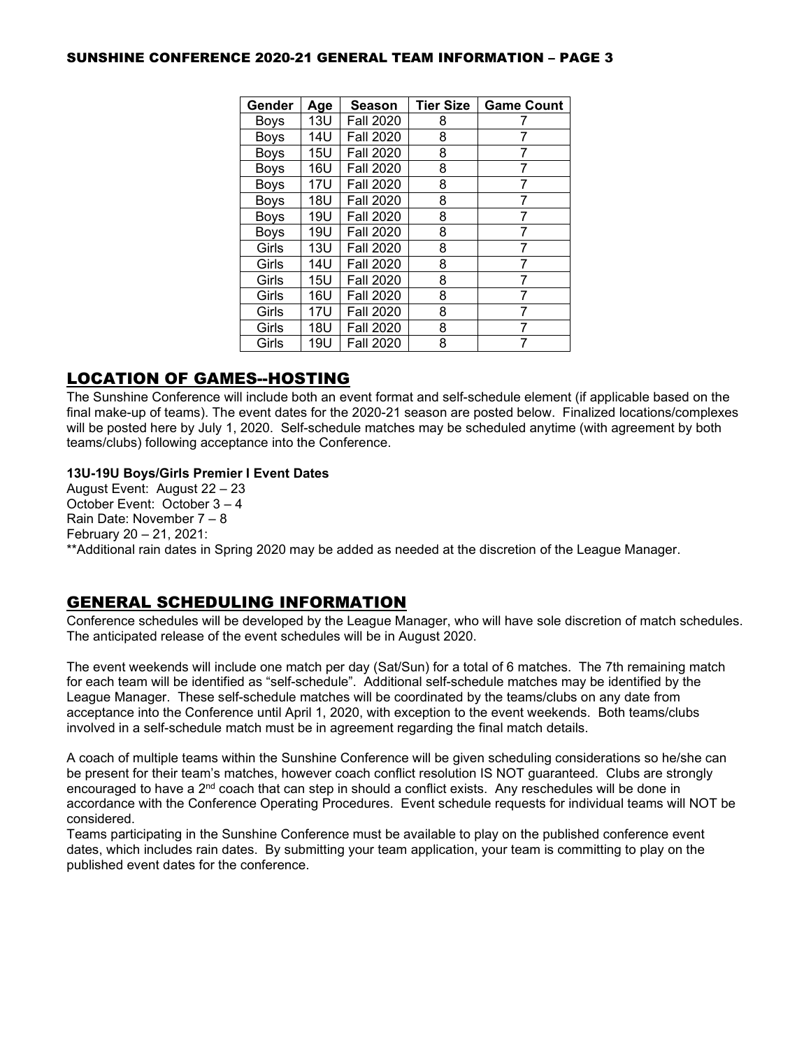#### SUNSHINE CONFERENCE 2020-21 GENERAL TEAM INFORMATION – PAGE 3

| Gender      | Age        | <b>Season</b>    | <b>Tier Size</b> | <b>Game Count</b> |
|-------------|------------|------------------|------------------|-------------------|
| Boys        | 13U        | <b>Fall 2020</b> | 8                |                   |
| <b>Boys</b> | <b>14U</b> | <b>Fall 2020</b> | 8                | 7                 |
| Boys        | <b>15U</b> | <b>Fall 2020</b> | 8                |                   |
| Boys        | 16U        | <b>Fall 2020</b> | 8                |                   |
| Boys        | <b>17U</b> | <b>Fall 2020</b> | 8                |                   |
| <b>Boys</b> | 18U        | <b>Fall 2020</b> | 8                | 7                 |
| <b>Boys</b> | 19U        | <b>Fall 2020</b> | 8                | 7                 |
| Boys        | 19U        | <b>Fall 2020</b> | 8                |                   |
| Girls       | 13U        | <b>Fall 2020</b> | 8                | 7                 |
| Girls       | 14U        | <b>Fall 2020</b> | 8                | 7                 |
| Girls       | 15U        | <b>Fall 2020</b> | 8                | 7                 |
| Girls       | 16U        | <b>Fall 2020</b> | 8                |                   |
| Girls       | 17U        | <b>Fall 2020</b> | 8                | 7                 |
| Girls       | 18U        | <b>Fall 2020</b> | 8                |                   |
| Girls       | 19U        | <b>Fall 2020</b> | 8                |                   |

# LOCATION OF GAMES--HOSTING

The Sunshine Conference will include both an event format and self-schedule element (if applicable based on the final make-up of teams). The event dates for the 2020-21 season are posted below. Finalized locations/complexes will be posted here by July 1, 2020. Self-schedule matches may be scheduled anytime (with agreement by both teams/clubs) following acceptance into the Conference.

#### **13U-19U Boys/Girls Premier I Event Dates**

August Event: August 22 – 23 October Event: October 3 – 4 Rain Date: November 7 – 8 February 20 – 21, 2021: \*\*Additional rain dates in Spring 2020 may be added as needed at the discretion of the League Manager.

# GENERAL SCHEDULING INFORMATION

Conference schedules will be developed by the League Manager, who will have sole discretion of match schedules. The anticipated release of the event schedules will be in August 2020.

The event weekends will include one match per day (Sat/Sun) for a total of 6 matches. The 7th remaining match for each team will be identified as "self-schedule". Additional self-schedule matches may be identified by the League Manager. These self-schedule matches will be coordinated by the teams/clubs on any date from acceptance into the Conference until April 1, 2020, with exception to the event weekends. Both teams/clubs involved in a self-schedule match must be in agreement regarding the final match details.

A coach of multiple teams within the Sunshine Conference will be given scheduling considerations so he/she can be present for their team's matches, however coach conflict resolution IS NOT guaranteed. Clubs are strongly encouraged to have a 2<sup>nd</sup> coach that can step in should a conflict exists. Any reschedules will be done in accordance with the Conference Operating Procedures. Event schedule requests for individual teams will NOT be considered.

Teams participating in the Sunshine Conference must be available to play on the published conference event dates, which includes rain dates. By submitting your team application, your team is committing to play on the published event dates for the conference.